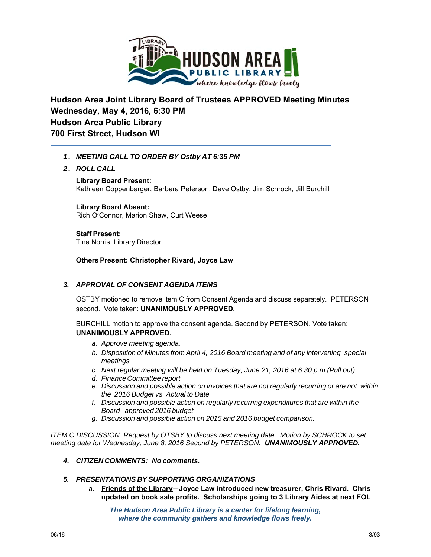

**Hudson Area Joint Library Board of Trustees APPROVED Meeting Minutes Wednesday, May 4, 2016, 6:30 PM Hudson Area Public Library 700 First Street, Hudson WI**

## *1. MEETING CALL TO ORDER BY Ostby AT 6:35 PM*

*2. ROLL CALL*

**Library Board Present:** Kathleen Coppenbarger, Barbara Peterson, Dave Ostby, Jim Schrock, Jill Burchill

# **Library Board Absent:**

Rich O'Connor, Marion Shaw, Curt Weese

**Staff Present:** Tina Norris, Library Director

**Others Present: Christopher Rivard, Joyce Law**

## *3. APPROVAL OF CONSENT AGENDA ITEMS*

OSTBY motioned to remove item C from Consent Agenda and discuss separately. PETERSON second. Vote taken: **UNANIMOUSLY APPROVED.**

BURCHILL motion to approve the consent agenda. Second by PETERSON. Vote taken: **UNANIMOUSLY APPROVED.**

- *a. Approve meeting agenda.*
- *b. Disposition of Minutes from April 4, 2016 Board meeting and of any intervening special meetings*
- *c. Next regular meeting will be held on Tuesday, June 21, 2016 at 6:30 p.m.(Pull out)*
- *d. Finance Committee report.*
- *e. Discussion and possible action on invoices that are not regularly recurring or are not within the 2016 Budget vs. Actual to Date*
- *f. Discussion and possible action on regularly recurring expenditures that are within the Board approved 2016 budget*
- *g. Discussion and possible action on 2015 and 2016 budget comparison.*

*ITEM C DISCUSSION: Request by OTSBY to discuss next meeting date. Motion by SCHROCK to set meeting date for Wednesday, June 8, 2016 Second by PETERSON. UNANIMOUSLY APPROVED.*

## *4. CITIZEN COMMENTS: No comments.*

## *5. PRESENTATIONS BY SUPPORTING ORGANIZATIONS*

a. **Friends of the Library—Joyce Law introduced new treasurer, Chris Rivard. Chris updated on book sale profits. Scholarships going to 3 Library Aides at next FOL**

*The Hudson Area Public Library is a center for lifelong learning, where the community gathers and knowledge flows freely.*